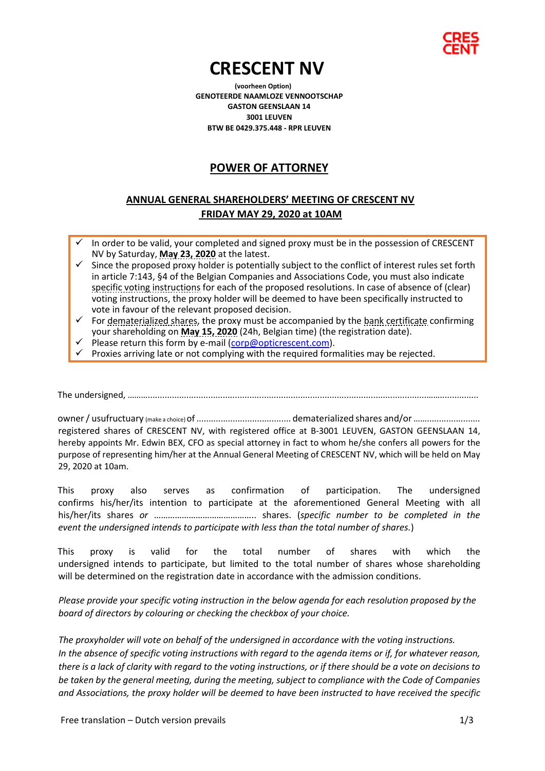

# **CRESCENT NV (voorheen Option)**

**GENOTEERDE NAAMLOZE VENNOOTSCHAP GASTON GEENSLAAN 14 3001 LEUVEN BTW BE 0429.375.448 - RPR LEUVEN**

## **POWER OF ATTORNEY**

### **ANNUAL GENERAL SHAREHOLDERS' MEETING OF CRESCENT NV FRIDAY MAY 29, 2020 at 10AM**

- In order to be valid, your completed and signed proxy must be in the possession of CRESCENT NV by Saturday, **May 23, 2020** at the latest.
- Since the proposed proxy holder is potentially subject to the conflict of interest rules set forth in article 7:143, §4 of the Belgian Companies and Associations Code, you must also indicate specific voting instructions for each of the proposed resolutions. In case of absence of (clear) voting instructions, the proxy holder will be deemed to have been specifically instructed to vote in favour of the relevant proposed decision.
- $\checkmark$  For dematerialized shares, the proxy must be accompanied by the bank certificate confirming your shareholding on **May 15, 2020** (24h, Belgian time) (the registration date).
- Please return this form by e-mail (corp@opticrescent.com).
- Proxies arriving late or not complying with the required formalities may be rejected.

The undersigned, ………...................................................................................................................……................

owner / usufructuary (make a choice)of ....................................... dematerialized shares and/or……...................... registered shares of CRESCENT NV, with registered office at B-3001 LEUVEN, GASTON GEENSLAAN 14, hereby appoints Mr. Edwin BEX, CFO as special attorney in fact to whom he/she confers all powers for the purpose of representing him/her at the Annual General Meeting of CRESCENT NV, which will be held on May 29, 2020 at 10am.

This proxy also serves as confirmation of participation. The undersigned confirms his/her/its intention to participate at the aforementioned General Meeting with all his/her/its shares *or* …………………………………….. shares. (*specific number to be completed in the event the undersigned intends to participate with less than the total number of shares.*)

This proxy is valid for the total number of shares with which the undersigned intends to participate, but limited to the total number of shares whose shareholding will be determined on the registration date in accordance with the admission conditions.

*Please provide your specific voting instruction in the below agenda for each resolution proposed by the board of directors by colouring or checking the checkbox of your choice.*

*The proxyholder will vote on behalf of the undersigned in accordance with the voting instructions. In the absence of specific voting instructions with regard to the agenda items or if, for whatever reason, there is a lack of clarity with regard to the voting instructions, or if there should be a vote on decisions to be taken by the general meeting, during the meeting, subject to compliance with the Code of Companies and Associations, the proxy holder will be deemed to have been instructed to have received the specific*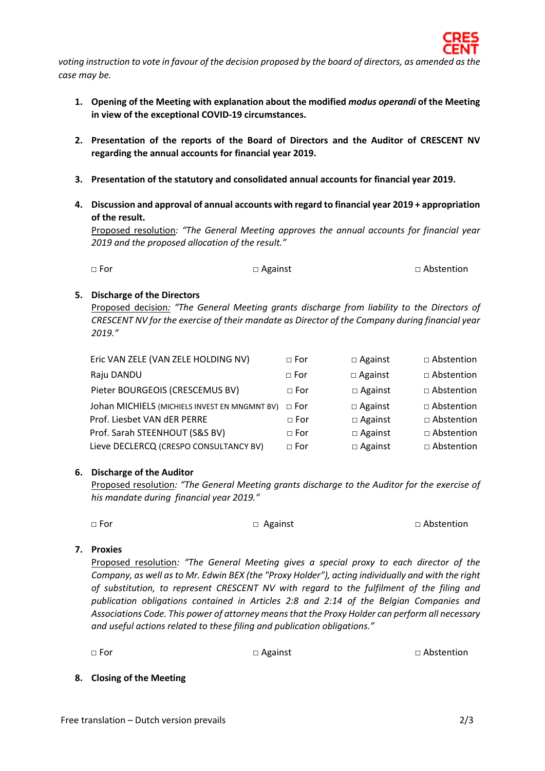*voting instruction to vote in favour of the decision proposed by the board of directors, as amended as the case may be.*

- **1. Opening of the Meeting with explanation about the modified** *modus operandi* **of the Meeting in view of the exceptional COVID-19 circumstances.**
- **2. Presentation of the reports of the Board of Directors and the Auditor of CRESCENT NV regarding the annual accounts for financial year 2019.**
- **3. Presentation of the statutory and consolidated annual accounts for financial year 2019.**
- **4. Discussion and approval of annual accounts with regard to financial year 2019 + appropriation of the result.**

Proposed resolution*: "The General Meeting approves the annual accounts for financial year 2019 and the proposed allocation of the result."*

| $\Box$ Abstention<br>$\Box$ Against<br>$\Box$ For |  |
|---------------------------------------------------|--|
|---------------------------------------------------|--|

#### **5. Discharge of the Directors**

Proposed decision*: "The General Meeting grants discharge from liability to the Directors of CRESCENT NV for the exercise of their mandate as Director of the Company during financial year 2019."*

| Eric VAN ZELE (VAN ZELE HOLDING NV)           | $\Box$ For   | $\Box$ Against | □ Abstention      |
|-----------------------------------------------|--------------|----------------|-------------------|
| Raju DANDU                                    | $\Box$ For   | $\Box$ Against | $\Box$ Abstention |
| Pieter BOURGEOIS (CRESCEMUS BV)               | $\Box$ For   | $\Box$ Against | $\Box$ Abstention |
| Johan MICHIELS (MICHIELS INVEST EN MNGMNT BV) | $\sqcap$ For | $\Box$ Against | $\Box$ Abstention |
| Prof. Liesbet VAN dER PERRE                   | $\sqcap$ For | $\Box$ Against | □ Abstention      |
| Prof. Sarah STEENHOUT (S&S BV)                | $\sqcap$ For | $\Box$ Against | □ Abstention      |
| Lieve DECLERCQ (CRESPO CONSULTANCY BV)        | $\sqcap$ For | $\Box$ Against | $\Box$ Abstention |

#### **6. Discharge of the Auditor**

Proposed resolution*: "The General Meeting grants discharge to the Auditor for the exercise of his mandate during financial year 2019."*

□ For □ Against □ Abstention

#### **7. Proxies**

Proposed resolution*: "The General Meeting gives a special proxy to each director of the Company, as well as to Mr. Edwin BEX (the "Proxy Holder"), acting individually and with the right of substitution, to represent CRESCENT NV with regard to the fulfilment of the filing and publication obligations contained in Articles 2:8 and 2:14 of the Belgian Companies and Associations Code. This power of attorney means that the Proxy Holder can perform all necessary and useful actions related to these filing and publication obligations."*

□ For □ Against □ Against □ Against □ Abstention

#### **8. Closing of the Meeting**